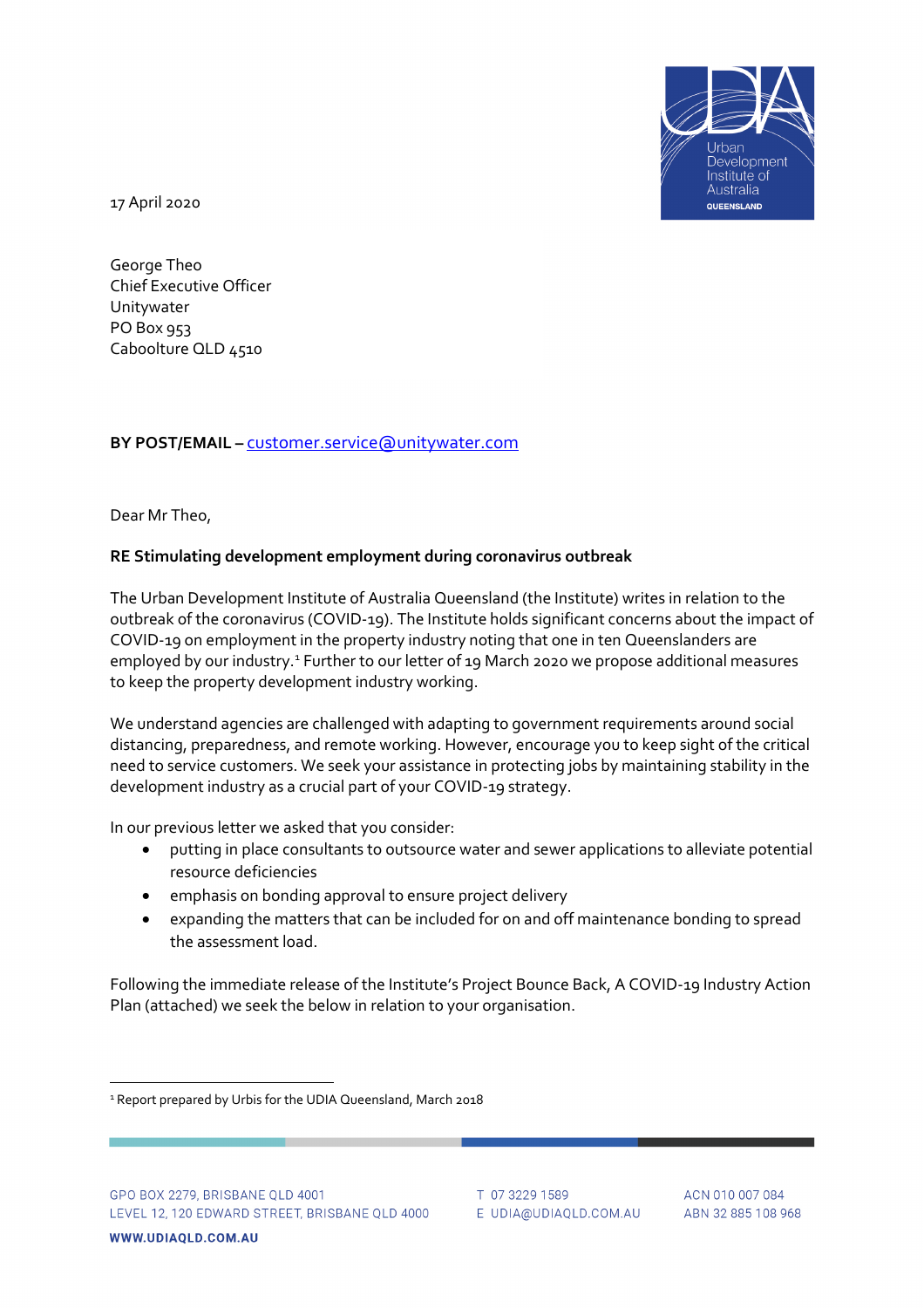

17 April 2020

George Theo Chief Executive Officer Unitywater PO Box 953 Caboolture QLD 4510

# **BY POST/EMAIL –** [customer.service@unitywater.com](mailto:customer.service@unitywater.com)

Dear Mr Theo,

# **RE Stimulating development employment during coronavirus outbreak**

The Urban Development Institute of Australia Queensland (the Institute) writes in relation to the outbreak of the coronavirus (COVID-19). The Institute holds significant concerns about the impact of COVID-19 on employment in the property industry noting that one in ten Queenslanders are employed by our industry.<sup>[1](#page-0-0)</sup> Further to our letter of 19 March 2020 we propose additional measures to keep the property development industry working.

We understand agencies are challenged with adapting to government requirements around social distancing, preparedness, and remote working. However, encourage you to keep sight of the critical need to service customers. We seek your assistance in protecting jobs by maintaining stability in the development industry as a crucial part of your COVID-19 strategy.

In our previous letter we asked that you consider:

- putting in place consultants to outsource water and sewer applications to alleviate potential resource deficiencies
- emphasis on bonding approval to ensure project delivery
- expanding the matters that can be included for on and off maintenance bonding to spread the assessment load.

Following the immediate release of the Institute's Project Bounce Back, A COVID-19 Industry Action Plan (attached) we seek the below in relation to your organisation.

<span id="page-0-0"></span><sup>&</sup>lt;sup>1</sup> Report prepared by Urbis for the UDIA Queensland, March 2018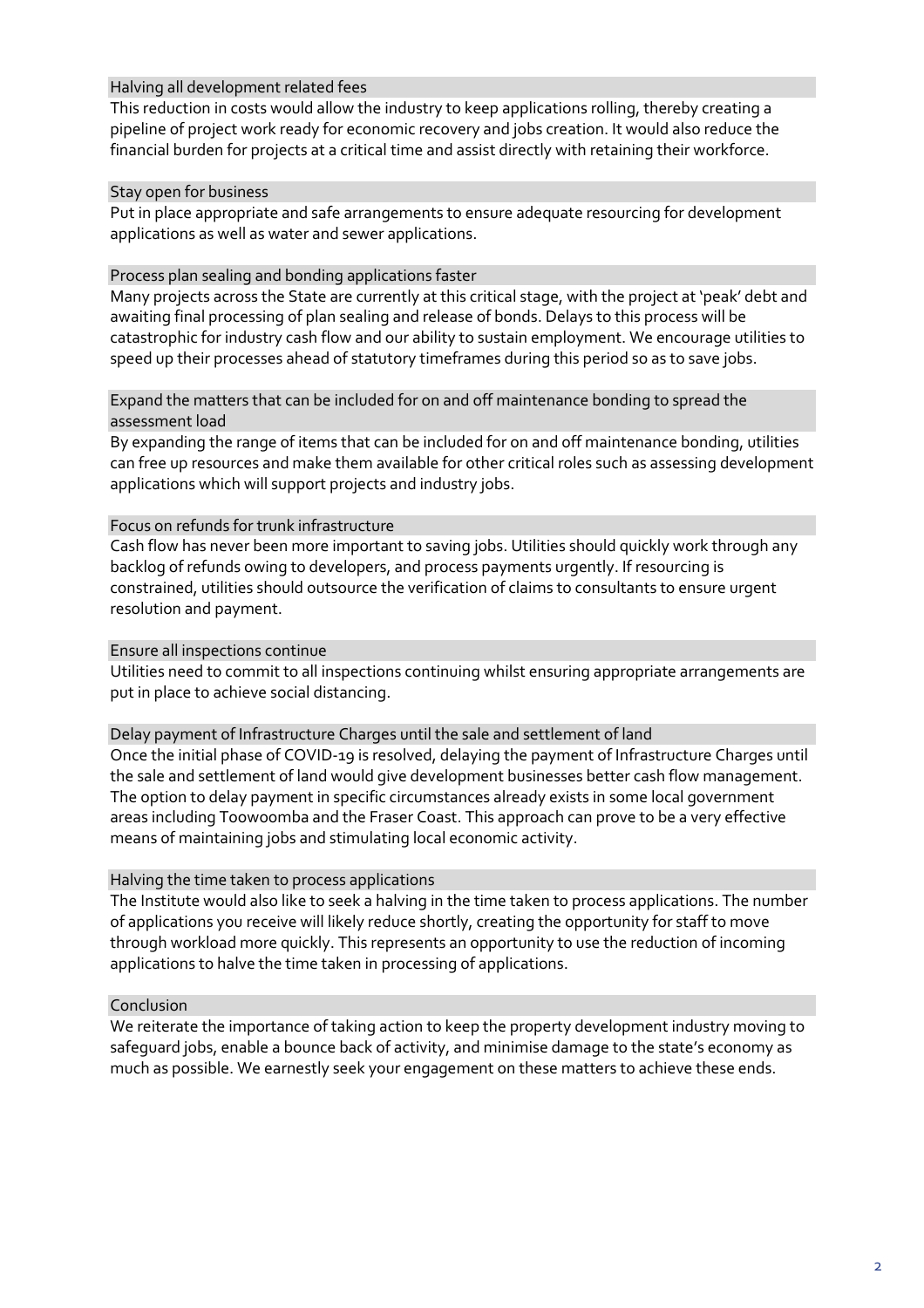## Halving all development related fees

This reduction in costs would allow the industry to keep applications rolling, thereby creating a pipeline of project work ready for economic recovery and jobs creation. It would also reduce the financial burden for projects at a critical time and assist directly with retaining their workforce.

#### Stay open for business

Put in place appropriate and safe arrangements to ensure adequate resourcing for development applications as well as water and sewer applications.

## Process plan sealing and bonding applications faster

Many projects across the State are currently at this critical stage, with the project at 'peak' debt and awaiting final processing of plan sealing and release of bonds. Delays to this process will be catastrophic for industry cash flow and our ability to sustain employment. We encourage utilities to speed up their processes ahead of statutory timeframes during this period so as to save jobs.

#### Expand the matters that can be included for on and off maintenance bonding to spread the assessment load

By expanding the range of items that can be included for on and off maintenance bonding, utilities can free up resources and make them available for other critical roles such as assessing development applications which will support projects and industry jobs.

## Focus on refunds for trunk infrastructure

Cash flow has never been more important to saving jobs. Utilities should quickly work through any backlog of refunds owing to developers, and process payments urgently. If resourcing is constrained, utilities should outsource the verification of claims to consultants to ensure urgent resolution and payment.

## Ensure all inspections continue

Utilities need to commit to all inspections continuing whilst ensuring appropriate arrangements are put in place to achieve social distancing.

#### Delay payment of Infrastructure Charges until the sale and settlement of land

Once the initial phase of COVID-19 is resolved, delaying the payment of Infrastructure Charges until the sale and settlement of land would give development businesses better cash flow management. The option to delay payment in specific circumstances already exists in some local government areas including Toowoomba and the Fraser Coast. This approach can prove to be a very effective means of maintaining jobs and stimulating local economic activity.

#### Halving the time taken to process applications

The Institute would also like to seek a halving in the time taken to process applications. The number of applications you receive will likely reduce shortly, creating the opportunity for staff to move through workload more quickly. This represents an opportunity to use the reduction of incoming applications to halve the time taken in processing of applications.

# Conclusion

We reiterate the importance of taking action to keep the property development industry moving to safeguard jobs, enable a bounce back of activity, and minimise damage to the state's economy as much as possible. We earnestly seek your engagement on these matters to achieve these ends.